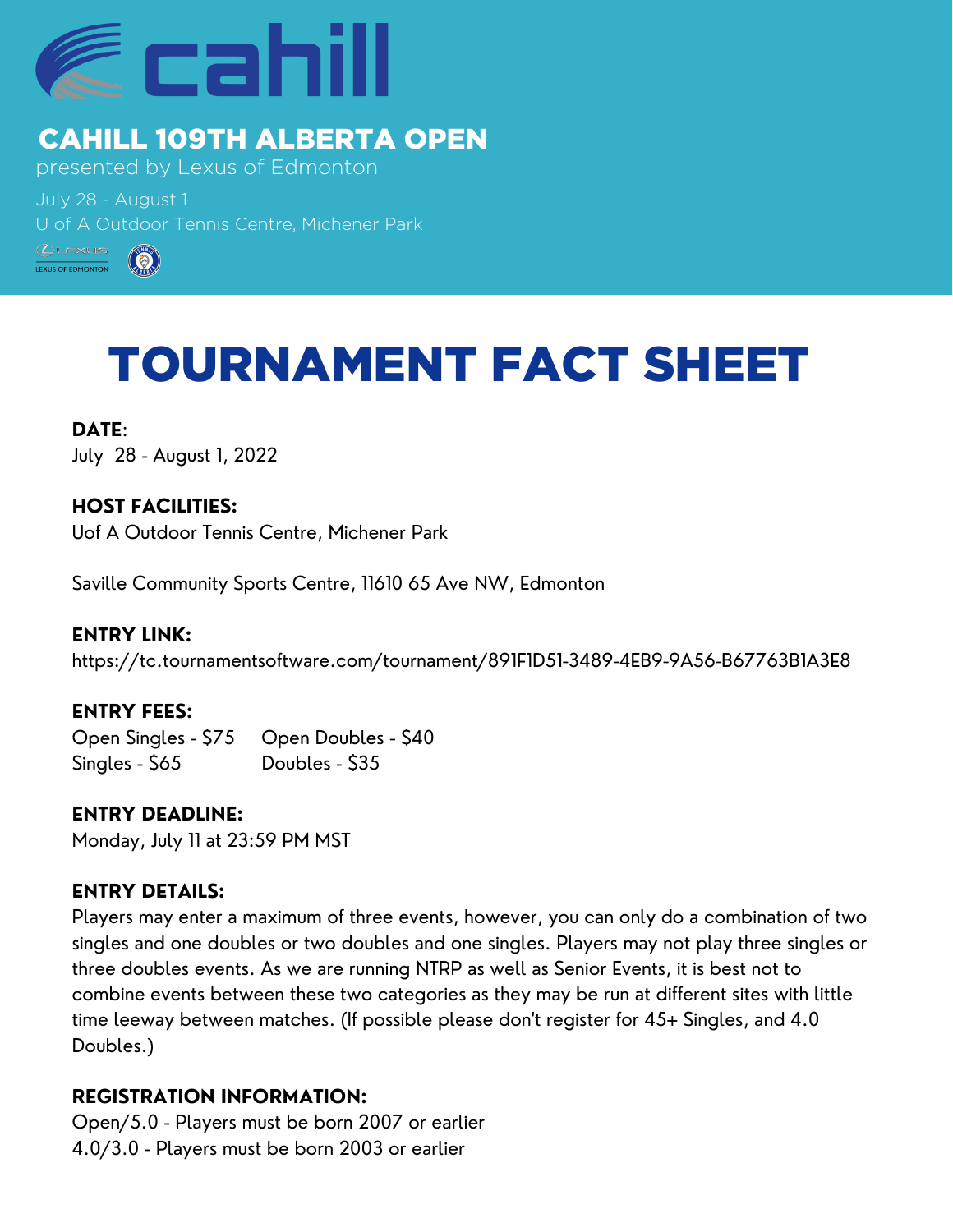

## CAHILL 109TH ALBERTA OPEN

presented by Lexus of Edmonton

July 28 - August 1 U of A Outdoor Tennis Centre, Michener Park



# TOURNAMENT FACT SHEET

**DATE**: July 28 - August 1, 2022

**HOST FACILITIES:** Uof A Outdoor Tennis Centre, Michener Park

Saville Community Sports Centre, 11610 65 Ave NW, Edmonton

presented by Lexus of Edmonton <https://tc.tournamentsoftware.com/tournament/891F1D51-3489-4EB9-9A56-B67763B1A3E8> **ENTRY LINK:**

#### $J_{\rm 2}$  - August 19 - August 19 - August 19 - August 19 - August 19 - August 19 - August 19 - August 19 - August 19 - August 19 - August 19 - August 19 - August 19 - August 19 - August 19 - August 19 - August 19 - Augus **ENTRY FEES:**

 $\overline{C}$  of  $\overline{C}$  of  $\overline{C}$  of  $\overline{C}$   $\overline{C}$   $\overline{C}$   $\overline{C}$   $\overline{C}$   $\overline{C}$   $\overline{C}$   $\overline{C}$   $\overline{C}$   $\overline{C}$   $\overline{C}$   $\overline{C}$   $\overline{C}$   $\overline{C}$   $\overline{C}$   $\overline{C}$   $\overline{C}$   $\overline{C}$   $\overline{C}$   $\overline{C}$   $\overline{$ Open Singles - \$75 Open Doubles - \$40 Singles - \$65 Doubles - \$35

**ENTRY DEADLINE:** Monday, July 11 at 23:59 PM MST

#### **ENTRY DETAILS:**

Players may enter a maximum of three events, however, you can only do a combination of two singles and one doubles or two doubles and one singles. Players may not play three singles or three doubles events. As we are running NTRP as well as Senior Events, it is best not to combine events between these two categories as they may be run at different sites with little time leeway between matches. (If possible please don't register for 45+ Singles, and 4.0 Doubles.)

### **REGISTRATION INFORMATION:**

Open/5.0 - Players must be born 2007 or earlier 4.0/3.0 - Players must be born 2003 or earlier